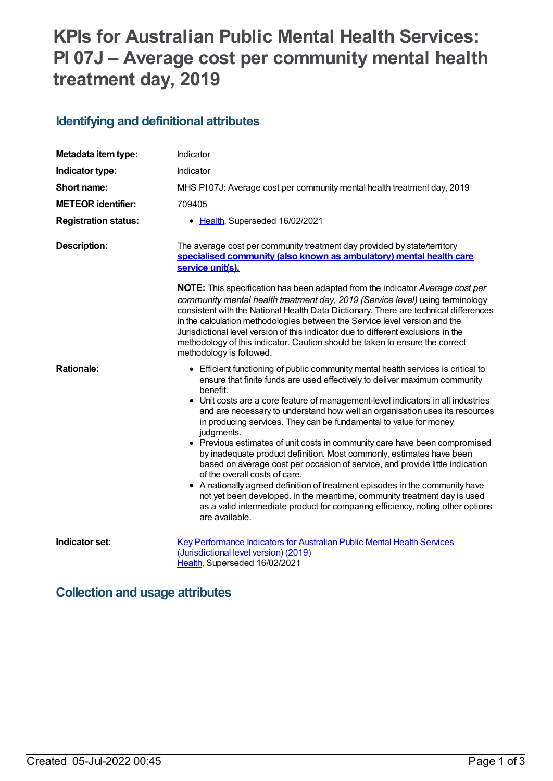# **KPIs for Australian Public Mental Health Services: PI 07J – Average cost per community mental health treatment day, 2019**

#### **Identifying and definitional attributes**

| Metadata item type:         | Indicator                                                                                                                                                                                                                                                                                                                                                                                                                                                                                                                                                                                                                                                                                                                                                                                                                                                                                                                                                                |
|-----------------------------|--------------------------------------------------------------------------------------------------------------------------------------------------------------------------------------------------------------------------------------------------------------------------------------------------------------------------------------------------------------------------------------------------------------------------------------------------------------------------------------------------------------------------------------------------------------------------------------------------------------------------------------------------------------------------------------------------------------------------------------------------------------------------------------------------------------------------------------------------------------------------------------------------------------------------------------------------------------------------|
| Indicator type:             | Indicator                                                                                                                                                                                                                                                                                                                                                                                                                                                                                                                                                                                                                                                                                                                                                                                                                                                                                                                                                                |
| Short name:                 | MHS PI07J: Average cost per community mental health treatment day, 2019                                                                                                                                                                                                                                                                                                                                                                                                                                                                                                                                                                                                                                                                                                                                                                                                                                                                                                  |
| <b>METEOR identifier:</b>   | 709405                                                                                                                                                                                                                                                                                                                                                                                                                                                                                                                                                                                                                                                                                                                                                                                                                                                                                                                                                                   |
| <b>Registration status:</b> | • Health, Superseded 16/02/2021                                                                                                                                                                                                                                                                                                                                                                                                                                                                                                                                                                                                                                                                                                                                                                                                                                                                                                                                          |
| Description:                | The average cost per community treatment day provided by state/territory<br>specialised community (also known as ambulatory) mental health care<br>service unit(s).                                                                                                                                                                                                                                                                                                                                                                                                                                                                                                                                                                                                                                                                                                                                                                                                      |
|                             | NOTE: This specification has been adapted from the indicator Average cost per<br>community mental health treatment day, 2019 (Service level) using terminology<br>consistent with the National Health Data Dictionary. There are technical differences<br>in the calculation methodologies between the Service level version and the<br>Jurisdictional level version of this indicator due to different exclusions in the<br>methodology of this indicator. Caution should be taken to ensure the correct<br>methodology is followed.                                                                                                                                                                                                                                                                                                                                                                                                                                    |
| <b>Rationale:</b>           | • Efficient functioning of public community mental health services is critical to<br>ensure that finite funds are used effectively to deliver maximum community<br>benefit.<br>• Unit costs are a core feature of management-level indicators in all industries<br>and are necessary to understand how well an organisation uses its resources<br>in producing services. They can be fundamental to value for money<br>judgments.<br>• Previous estimates of unit costs in community care have been compromised<br>by inadequate product definition. Most commonly, estimates have been<br>based on average cost per occasion of service, and provide little indication<br>of the overall costs of care.<br>• A nationally agreed definition of treatment episodes in the community have<br>not yet been developed. In the meantime, community treatment day is used<br>as a valid intermediate product for comparing efficiency, noting other options<br>are available. |
| Indicator set:              | Key Performance Indicators for Australian Public Mental Health Services<br>(Jurisdictional level version) (2019)<br>Health, Superseded 16/02/2021                                                                                                                                                                                                                                                                                                                                                                                                                                                                                                                                                                                                                                                                                                                                                                                                                        |

#### **Collection and usage attributes**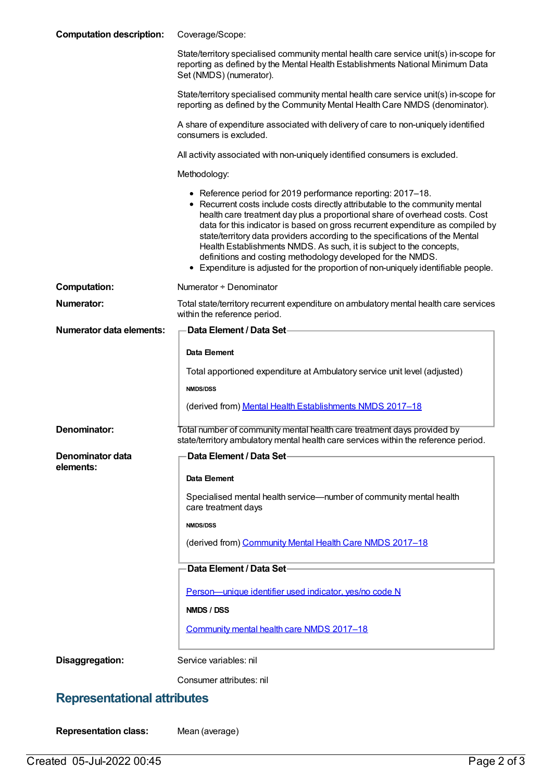| <b>Computation description:</b>    | Coverage/Scope:                                                                                                                                                                                                                                                                                                                                                                                                                                                                                                                                                                                                          |
|------------------------------------|--------------------------------------------------------------------------------------------------------------------------------------------------------------------------------------------------------------------------------------------------------------------------------------------------------------------------------------------------------------------------------------------------------------------------------------------------------------------------------------------------------------------------------------------------------------------------------------------------------------------------|
|                                    | State/territory specialised community mental health care service unit(s) in-scope for<br>reporting as defined by the Mental Health Establishments National Minimum Data<br>Set (NMDS) (numerator).                                                                                                                                                                                                                                                                                                                                                                                                                       |
|                                    | State/territory specialised community mental health care service unit(s) in-scope for<br>reporting as defined by the Community Mental Health Care NMDS (denominator).                                                                                                                                                                                                                                                                                                                                                                                                                                                    |
|                                    | A share of expenditure associated with delivery of care to non-uniquely identified<br>consumers is excluded.                                                                                                                                                                                                                                                                                                                                                                                                                                                                                                             |
|                                    | All activity associated with non-uniquely identified consumers is excluded.                                                                                                                                                                                                                                                                                                                                                                                                                                                                                                                                              |
|                                    | Methodology:                                                                                                                                                                                                                                                                                                                                                                                                                                                                                                                                                                                                             |
|                                    | • Reference period for 2019 performance reporting: 2017-18.<br>• Recurrent costs include costs directly attributable to the community mental<br>health care treatment day plus a proportional share of overhead costs. Cost<br>data for this indicator is based on gross recurrent expenditure as compiled by<br>state/territory data providers according to the specifications of the Mental<br>Health Establishments NMDS. As such, it is subject to the concepts,<br>definitions and costing methodology developed for the NMDS.<br>• Expenditure is adjusted for the proportion of non-uniquely identifiable people. |
| <b>Computation:</b>                | Numerator + Denominator                                                                                                                                                                                                                                                                                                                                                                                                                                                                                                                                                                                                  |
| Numerator:                         | Total state/territory recurrent expenditure on ambulatory mental health care services<br>within the reference period.                                                                                                                                                                                                                                                                                                                                                                                                                                                                                                    |
| <b>Numerator data elements:</b>    | Data Element / Data Set-                                                                                                                                                                                                                                                                                                                                                                                                                                                                                                                                                                                                 |
|                                    | Data Element                                                                                                                                                                                                                                                                                                                                                                                                                                                                                                                                                                                                             |
|                                    | Total apportioned expenditure at Ambulatory service unit level (adjusted)                                                                                                                                                                                                                                                                                                                                                                                                                                                                                                                                                |
|                                    | <b>NMDS/DSS</b>                                                                                                                                                                                                                                                                                                                                                                                                                                                                                                                                                                                                          |
|                                    | (derived from) Mental Health Establishments NMDS 2017-18                                                                                                                                                                                                                                                                                                                                                                                                                                                                                                                                                                 |
| Denominator:                       | Total number of community mental health care treatment days provided by<br>state/territory ambulatory mental health care services within the reference period.                                                                                                                                                                                                                                                                                                                                                                                                                                                           |
| Denominator data                   | Data Element / Data Set-                                                                                                                                                                                                                                                                                                                                                                                                                                                                                                                                                                                                 |
| elements:                          | <b>Data Element</b>                                                                                                                                                                                                                                                                                                                                                                                                                                                                                                                                                                                                      |
|                                    | Specialised mental health service—number of community mental health<br>care treatment days                                                                                                                                                                                                                                                                                                                                                                                                                                                                                                                               |
|                                    | <b>NMDS/DSS</b>                                                                                                                                                                                                                                                                                                                                                                                                                                                                                                                                                                                                          |
|                                    | (derived from) Community Mental Health Care NMDS 2017-18                                                                                                                                                                                                                                                                                                                                                                                                                                                                                                                                                                 |
|                                    | Data Element / Data Set-                                                                                                                                                                                                                                                                                                                                                                                                                                                                                                                                                                                                 |
|                                    | Person-unique identifier used indicator, yes/no code N                                                                                                                                                                                                                                                                                                                                                                                                                                                                                                                                                                   |
|                                    | NMDS / DSS                                                                                                                                                                                                                                                                                                                                                                                                                                                                                                                                                                                                               |
|                                    | Community mental health care NMDS 2017-18                                                                                                                                                                                                                                                                                                                                                                                                                                                                                                                                                                                |
| Disaggregation:                    | Service variables: nil                                                                                                                                                                                                                                                                                                                                                                                                                                                                                                                                                                                                   |
|                                    | Consumer attributes: nil                                                                                                                                                                                                                                                                                                                                                                                                                                                                                                                                                                                                 |
| <b>Representational attributes</b> |                                                                                                                                                                                                                                                                                                                                                                                                                                                                                                                                                                                                                          |

**Representation class:** Mean (average)